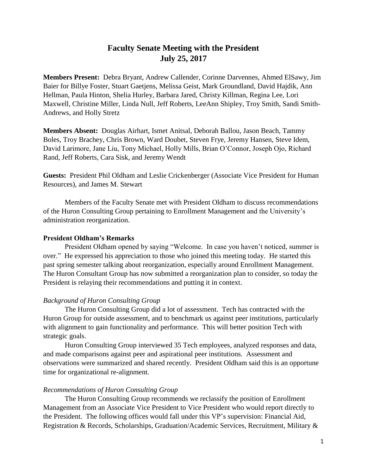# **Faculty Senate Meeting with the President July 25, 2017**

**Members Present:** Debra Bryant, Andrew Callender, Corinne Darvennes, Ahmed ElSawy, Jim Baier for Billye Foster, Stuart Gaetjens, Melissa Geist, Mark Groundland, David Hajdik, Ann Hellman, Paula Hinton, Shelia Hurley, Barbara Jared, Christy Killman, Regina Lee, Lori Maxwell, Christine Miller, Linda Null, Jeff Roberts, LeeAnn Shipley, Troy Smith, Sandi Smith-Andrews, and Holly Stretz

**Members Absent:** Douglas Airhart, Ismet Anitsal, Deborah Ballou, Jason Beach, Tammy Boles, Troy Brachey, Chris Brown, Ward Doubet, Steven Frye, Jeremy Hansen, Steve Idem, David Larimore, Jane Liu, Tony Michael, Holly Mills, Brian O'Connor, Joseph Ojo, Richard Rand, Jeff Roberts, Cara Sisk, and Jeremy Wendt

**Guests:** President Phil Oldham and Leslie Crickenberger (Associate Vice President for Human Resources), and James M. Stewart

Members of the Faculty Senate met with President Oldham to discuss recommendations of the Huron Consulting Group pertaining to Enrollment Management and the University's administration reorganization.

### **President Oldham's Remarks**

President Oldham opened by saying "Welcome. In case you haven't noticed, summer is over." He expressed his appreciation to those who joined this meeting today. He started this past spring semester talking about reorganization, especially around Enrollment Management. The Huron Consultant Group has now submitted a reorganization plan to consider, so today the President is relaying their recommendations and putting it in context.

### *Background of Huron Consulting Group*

The Huron Consulting Group did a lot of assessment. Tech has contracted with the Huron Group for outside assessment, and to benchmark us against peer institutions, particularly with alignment to gain functionality and performance. This will better position Tech with strategic goals.

Huron Consulting Group interviewed 35 Tech employees, analyzed responses and data, and made comparisons against peer and aspirational peer institutions. Assessment and observations were summarized and shared recently. President Oldham said this is an opportune time for organizational re-alignment.

### *Recommendations of Huron Consulting Group*

The Huron Consulting Group recommends we reclassify the position of Enrollment Management from an Associate Vice President to Vice President who would report directly to the President. The following offices would fall under this VP's supervision: Financial Aid, Registration & Records, Scholarships, Graduation/Academic Services, Recruitment, Military &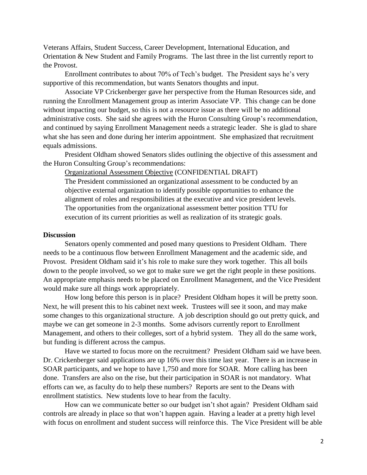Veterans Affairs, Student Success, Career Development, International Education, and Orientation & New Student and Family Programs. The last three in the list currently report to the Provost.

Enrollment contributes to about 70% of Tech's budget. The President says he's very supportive of this recommendation, but wants Senators thoughts and input.

Associate VP Crickenberger gave her perspective from the Human Resources side, and running the Enrollment Management group as interim Associate VP. This change can be done without impacting our budget, so this is not a resource issue as there will be no additional administrative costs. She said she agrees with the Huron Consulting Group's recommendation, and continued by saying Enrollment Management needs a strategic leader. She is glad to share what she has seen and done during her interim appointment. She emphasized that recruitment equals admissions.

President Oldham showed Senators slides outlining the objective of this assessment and the Huron Consulting Group's recommendations:

Organizational Assessment Objective (CONFIDENTIAL DRAFT) The President commissioned an organizational assessment to be conducted by an objective external organization to identify possible opportunities to enhance the alignment of roles and responsibilities at the executive and vice president levels. The opportunities from the organizational assessment better position TTU for execution of its current priorities as well as realization of its strategic goals.

## **Discussion**

Senators openly commented and posed many questions to President Oldham. There needs to be a continuous flow between Enrollment Management and the academic side, and Provost. President Oldham said it's his role to make sure they work together. This all boils down to the people involved, so we got to make sure we get the right people in these positions. An appropriate emphasis needs to be placed on Enrollment Management, and the Vice President would make sure all things work appropriately.

How long before this person is in place? President Oldham hopes it will be pretty soon. Next, he will present this to his cabinet next week. Trustees will see it soon, and may make some changes to this organizational structure. A job description should go out pretty quick, and maybe we can get someone in 2-3 months. Some advisors currently report to Enrollment Management, and others to their colleges, sort of a hybrid system. They all do the same work, but funding is different across the campus.

Have we started to focus more on the recruitment? President Oldham said we have been. Dr. Crickenberger said applications are up 16% over this time last year. There is an increase in SOAR participants, and we hope to have 1,750 and more for SOAR. More calling has been done. Transfers are also on the rise, but their participation in SOAR is not mandatory. What efforts can we, as faculty do to help these numbers? Reports are sent to the Deans with enrollment statistics. New students love to hear from the faculty.

How can we communicate better so our budget isn't shot again? President Oldham said controls are already in place so that won't happen again. Having a leader at a pretty high level with focus on enrollment and student success will reinforce this. The Vice President will be able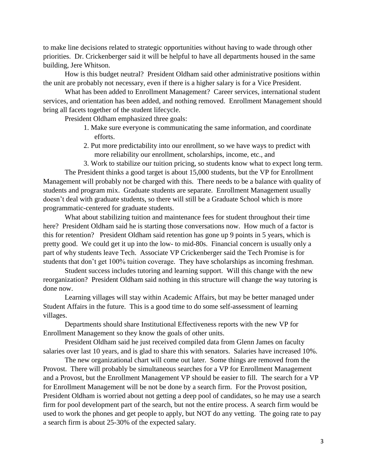to make line decisions related to strategic opportunities without having to wade through other priorities. Dr. Crickenberger said it will be helpful to have all departments housed in the same building, Jere Whitson.

How is this budget neutral? President Oldham said other administrative positions within the unit are probably not necessary, even if there is a higher salary is for a Vice President.

What has been added to Enrollment Management? Career services, international student services, and orientation has been added, and nothing removed. Enrollment Management should bring all facets together of the student lifecycle.

President Oldham emphasized three goals:

- 1. Make sure everyone is communicating the same information, and coordinate efforts.
- 2. Put more predictability into our enrollment, so we have ways to predict with more reliability our enrollment, scholarships, income, etc., and
- 3. Work to stabilize our tuition pricing, so students know what to expect long term.

The President thinks a good target is about 15,000 students, but the VP for Enrollment Management will probably not be charged with this. There needs to be a balance with quality of students and program mix. Graduate students are separate. Enrollment Management usually doesn't deal with graduate students, so there will still be a Graduate School which is more programmatic-centered for graduate students.

What about stabilizing tuition and maintenance fees for student throughout their time here? President Oldham said he is starting those conversations now. How much of a factor is this for retention? President Oldham said retention has gone up 9 points in 5 years, which is pretty good. We could get it up into the low- to mid-80s. Financial concern is usually only a part of why students leave Tech. Associate VP Crickenberger said the Tech Promise is for students that don't get 100% tuition coverage. They have scholarships as incoming freshman.

Student success includes tutoring and learning support. Will this change with the new reorganization? President Oldham said nothing in this structure will change the way tutoring is done now.

Learning villages will stay within Academic Affairs, but may be better managed under Student Affairs in the future. This is a good time to do some self-assessment of learning villages.

Departments should share Institutional Effectiveness reports with the new VP for Enrollment Management so they know the goals of other units.

President Oldham said he just received compiled data from Glenn James on faculty salaries over last 10 years, and is glad to share this with senators. Salaries have increased 10%.

The new organizational chart will come out later. Some things are removed from the Provost. There will probably be simultaneous searches for a VP for Enrollment Management and a Provost, but the Enrollment Management VP should be easier to fill. The search for a VP for Enrollment Management will be not be done by a search firm. For the Provost position, President Oldham is worried about not getting a deep pool of candidates, so he may use a search firm for pool development part of the search, but not the entire process. A search firm would be used to work the phones and get people to apply, but NOT do any vetting. The going rate to pay a search firm is about 25-30% of the expected salary.